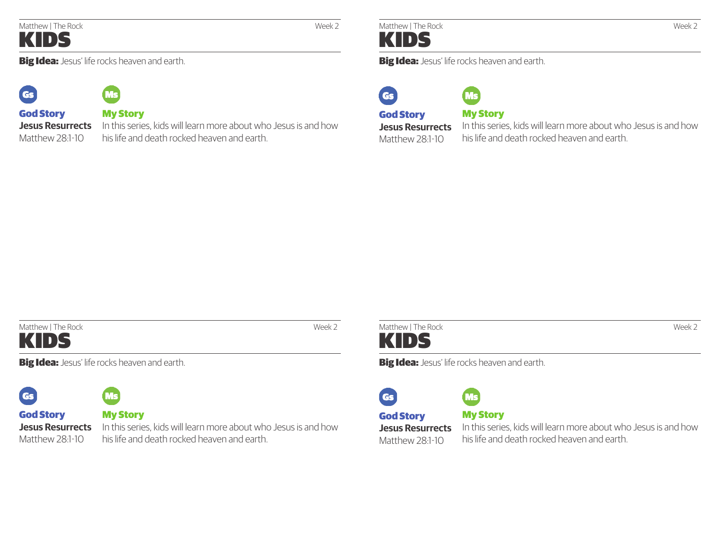### Matthew | The Rock Week 2 KIDS

**Big Idea:** Jesus' life rocks heaven and earth.



Matthew 28:1-10



God Story **Jesus Resurrects** 

### My Story

In this series, kids will learn more about who Jesus is and how his life and death rocked heaven and earth.

### **Big Idea:** Jesus' life rocks heaven and earth.



# **Ns**

# God Story

Matthew 28:1-10

**Jesus Resurrects**  In this series, kids will learn more about who Jesus is and how My Story his life and death rocked heaven and earth.



**Big Idea:** Jesus' life rocks heaven and earth.



God Story **Jesus Resurrects**  Matthew 28:1-10

My Story

In this series, kids will learn more about who Jesus is and how his life and death rocked heaven and earth.



**Big Idea:** Jesus' life rocks heaven and earth.



Matthew 28:1-10

## My Story

In this series, kids will learn more about who Jesus is and how his life and death rocked heaven and earth.